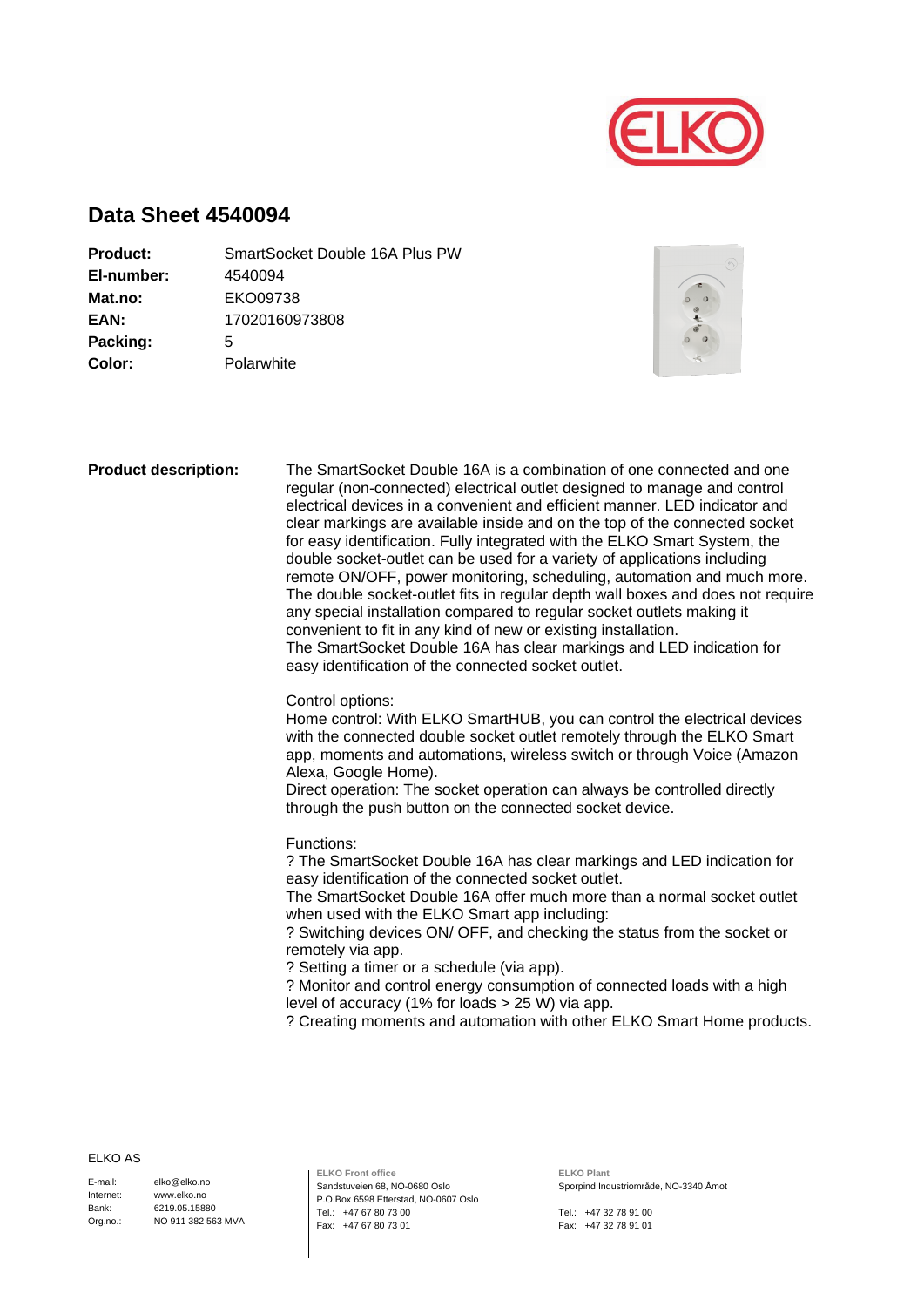

## **Data Sheet 4540094**

| <b>Product:</b> | SmartSocket Double 16A Plus PW |
|-----------------|--------------------------------|
| El-number:      | 4540094                        |
| Mat.no:         | EKO09738                       |
| EAN:            | 17020160973808                 |
| Packing:        | 5                              |
| Color:          | Polarwhite                     |
|                 |                                |



| <b>Product description:</b> | The SmartSocket Double 16A is a combination of one connected and one<br>regular (non-connected) electrical outlet designed to manage and control<br>electrical devices in a convenient and efficient manner. LED indicator and<br>clear markings are available inside and on the top of the connected socket<br>for easy identification. Fully integrated with the ELKO Smart System, the<br>double socket-outlet can be used for a variety of applications including<br>remote ON/OFF, power monitoring, scheduling, automation and much more.<br>The double socket-outlet fits in regular depth wall boxes and does not require<br>any special installation compared to regular socket outlets making it<br>convenient to fit in any kind of new or existing installation.<br>The SmartSocket Double 16A has clear markings and LED indication for<br>easy identification of the connected socket outlet. |
|-----------------------------|-------------------------------------------------------------------------------------------------------------------------------------------------------------------------------------------------------------------------------------------------------------------------------------------------------------------------------------------------------------------------------------------------------------------------------------------------------------------------------------------------------------------------------------------------------------------------------------------------------------------------------------------------------------------------------------------------------------------------------------------------------------------------------------------------------------------------------------------------------------------------------------------------------------|
|                             | Control options:<br>Home control: With ELKO SmartHUB, you can control the electrical devices<br>with the connected double socket outlet remotely through the ELKO Smart<br>app, moments and automations, wireless switch or through Voice (Amazon<br>Alexa, Google Home).<br>Direct operation: The socket operation can always be controlled directly<br>through the push button on the connected socket device.                                                                                                                                                                                                                                                                                                                                                                                                                                                                                            |
|                             | Functions:<br>? The SmartSocket Double 16A has clear markings and LED indication for<br>easy identification of the connected socket outlet.<br>The SmartSocket Double 16A offer much more than a normal socket outlet<br>when used with the ELKO Smart app including:<br>? Switching devices ON/ OFF, and checking the status from the socket or<br>remotely via app.<br>? Setting a timer or a schedule (via app).<br>? Monitor and control energy consumption of connected loads with a high<br>level of accuracy (1% for loads > 25 W) via app.<br>? Creating moments and automation with other ELKO Smart Home products.                                                                                                                                                                                                                                                                                |

## ELKO AS

E-mail: Internet: Bank: Org.no.:

elko@elko.no www.elko.no 6219.05.15880 NO 911 382 563 MVA **ELKO Front office** Sandstuveien 68, NO-0680 Oslo P.O.Box 6598 Etterstad, NO-0607 Oslo Tel.: +47 67 80 73 00 Fax: +47 67 80 73 01

**ELKO Plant** Sporpind Industriområde, NO-3340 Åmot

Tel.: +47 32 78 91 00 Fax: +47 32 78 91 01